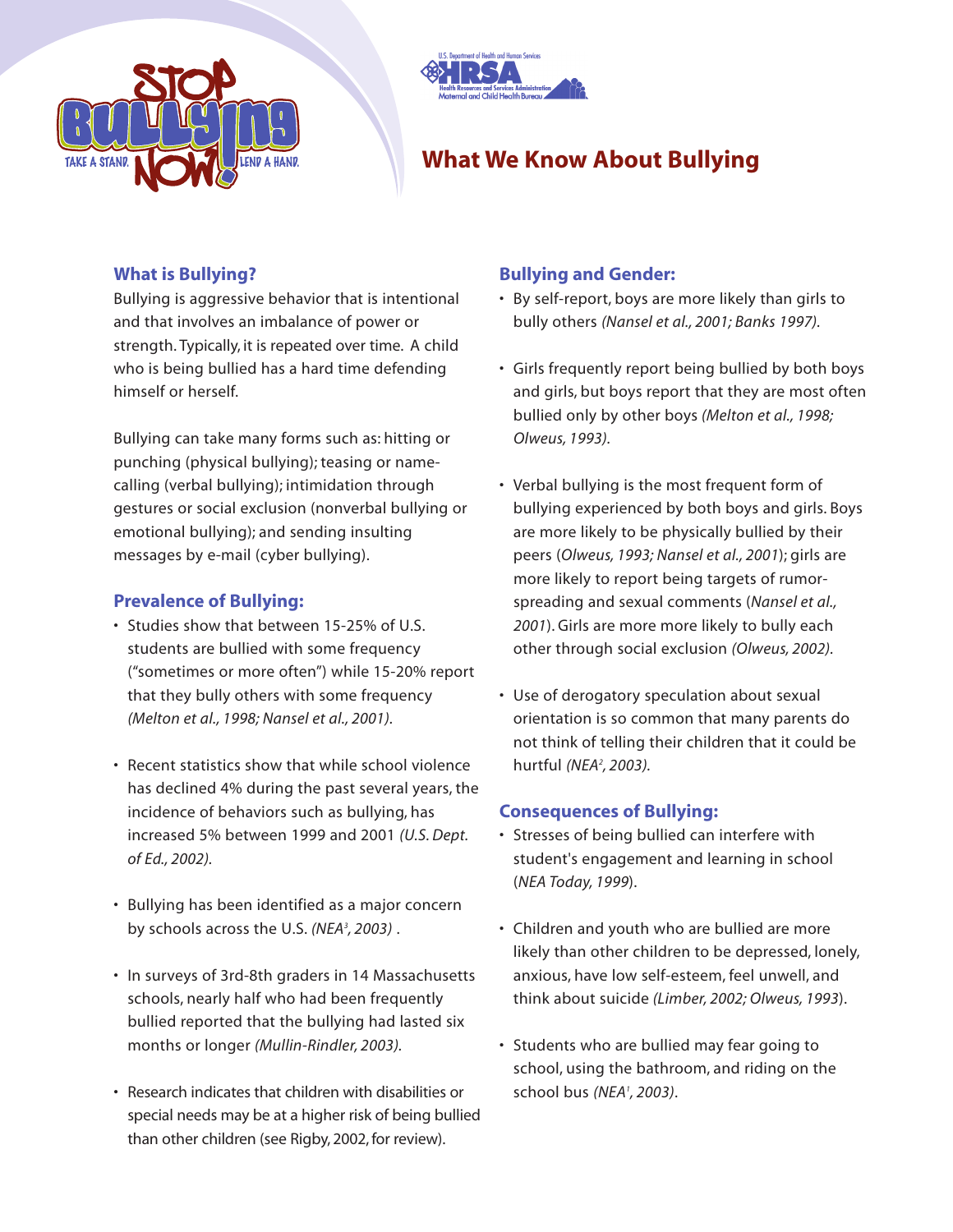



# **What We Know About Bullying**

### **What is Bullying?**

Bullying is aggressive behavior that is intentional and that involves an imbalance of power or strength. Typically, it is repeated over time. A child who is being bullied has a hard time defending himself or herself.

Bullying can take many forms such as: hitting or punching (physical bullying); teasing or namecalling (verbal bullying); intimidation through gestures or social exclusion (nonverbal bullying or emotional bullying); and sending insulting messages by e-mail (cyber bullying).

#### **Prevalence of Bullying:**

- Studies show that between 15-25% of U.S. students are bullied with some frequency ("sometimes or more often") while 15-20% report that they bully others with some frequency *(Melton et al., 1998; Nansel et al., 2001).*
- Recent statistics show that while school violence has declined 4% during the past several years, the incidence of behaviors such as bullying, has increased 5% between 1999 and 2001 *(U.S. Dept. of Ed., 2002).*
- Bullying has been identified as a major concern by schools across the U.S. *(NEA3 , 2003)* .
- In surveys of 3rd-8th graders in 14 Massachusetts schools, nearly half who had been frequently bullied reported that the bullying had lasted six months or longer *(Mullin-Rindler, 2003).*
- Research indicates that children with disabilities or special needs may be at a higher risk of being bullied than other children (see Rigby, 2002, for review).

#### **Bullying and Gender:**

- By self-report, boys are more likely than girls to bully others *(Nansel et al., 2001; Banks 1997).*
- Girls frequently report being bullied by both boys and girls, but boys report that they are most often bullied only by other boys *(Melton et al., 1998; Olweus, 1993).*
- Verbal bullying is the most frequent form of bullying experienced by both boys and girls. Boys are more likely to be physically bullied by their peers (*Olweus, 1993; Nansel et al., 2001*); girls are more likely to report being targets of rumorspreading and sexual comments (*Nansel et al., 2001*). Girls are more more likely to bully each other through social exclusion *(Olweus, 2002).*
- Use of derogatory speculation about sexual orientation is so common that many parents do not think of telling their children that it could be hurtful *(NEA2 , 2003).*

## **Consequences of Bullying:**

- Stresses of being bullied can interfere with student's engagement and learning in school (*NEA Today, 1999*).
- Children and youth who are bullied are more likely than other children to be depressed, lonely, anxious, have low self-esteem, feel unwell, and think about suicide *(Limber, 2002; Olweus, 1993*).
- Students who are bullied may fear going to school, using the bathroom, and riding on the school bus *(NEA1 , 2003)*.